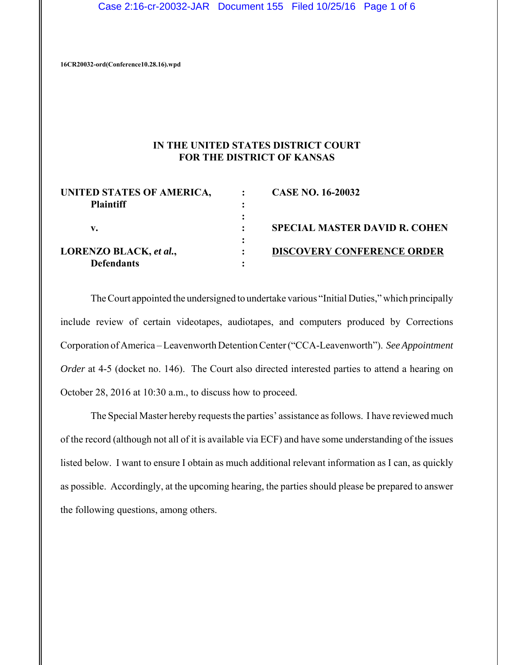Case 2:16-cr-20032-JAR Document 155 Filed 10/25/16 Page 1 of 6

**16CR20032-ord(Conference10.28.16).wpd**

# **IN THE UNITED STATES DISTRICT COURT FOR THE DISTRICT OF KANSAS**

| UNITED STATES OF AMERICA, | <b>CASE NO. 16-20032</b>             |
|---------------------------|--------------------------------------|
| <b>Plaintiff</b>          |                                      |
|                           |                                      |
| v.                        | <b>SPECIAL MASTER DAVID R. COHEN</b> |
|                           |                                      |
| LORENZO BLACK, et al.,    | <b>DISCOVERY CONFERENCE ORDER</b>    |
| <b>Defendants</b>         |                                      |

The Court appointed the undersigned to undertake various "Initial Duties," which principally include review of certain videotapes, audiotapes, and computers produced by Corrections Corporation of America – Leavenworth Detention Center ("CCA-Leavenworth"). *See Appointment Order* at 4-5 (docket no. 146). The Court also directed interested parties to attend a hearing on October 28, 2016 at 10:30 a.m., to discuss how to proceed.

The Special Master hereby requests the parties' assistance as follows. I have reviewed much of the record (although not all of it is available via ECF) and have some understanding of the issues listed below. I want to ensure I obtain as much additional relevant information as I can, as quickly as possible. Accordingly, at the upcoming hearing, the parties should please be prepared to answer the following questions, among others.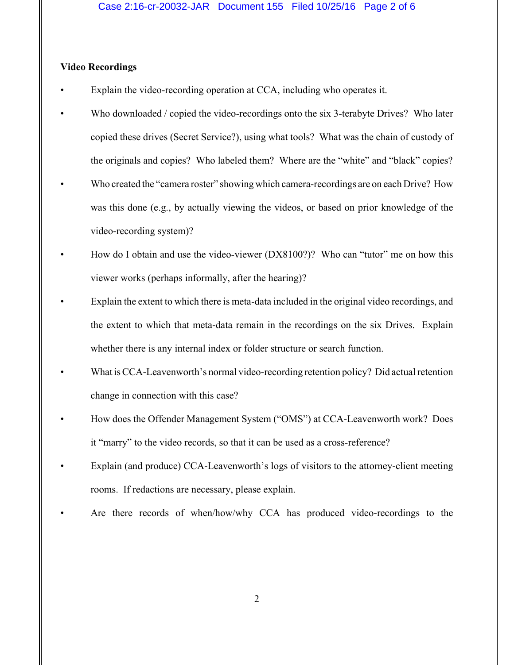### **Video Recordings**

- Explain the video-recording operation at CCA, including who operates it.
- Who downloaded / copied the video-recordings onto the six 3-terabyte Drives? Who later copied these drives (Secret Service?), using what tools? What was the chain of custody of the originals and copies? Who labeled them? Where are the "white" and "black" copies?
- Who created the "camera roster" showing which camera-recordings are on each Drive? How was this done (e.g., by actually viewing the videos, or based on prior knowledge of the video-recording system)?
- How do I obtain and use the video-viewer (DX8100?)? Who can "tutor" me on how this viewer works (perhaps informally, after the hearing)?
- Explain the extent to which there is meta-data included in the original video recordings, and the extent to which that meta-data remain in the recordings on the six Drives. Explain whether there is any internal index or folder structure or search function.
- What is CCA-Leavenworth's normal video-recording retention policy? Did actual retention change in connection with this case?
- How does the Offender Management System ("OMS") at CCA-Leavenworth work? Does it "marry" to the video records, so that it can be used as a cross-reference?
- Explain (and produce) CCA-Leavenworth's logs of visitors to the attorney-client meeting rooms. If redactions are necessary, please explain.
- Are there records of when/how/why CCA has produced video-recordings to the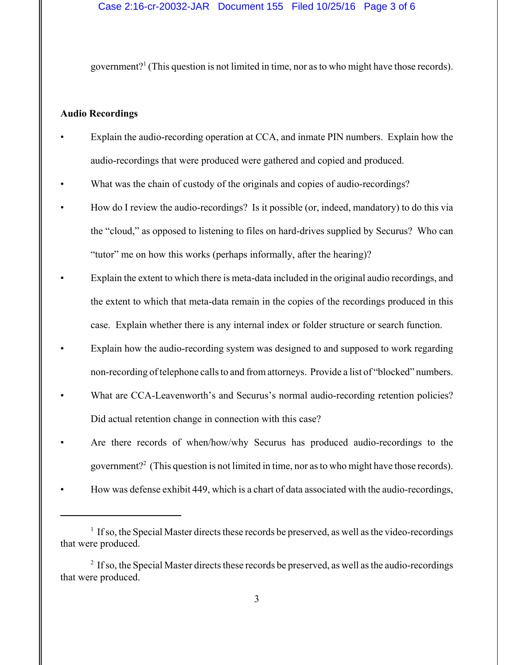government?<sup>1</sup> (This question is not limited in time, nor as to who might have those records).

#### **Audio Recordings**

- Explain the audio-recording operation at CCA, and inmate PIN numbers. Explain how the audio-recordings that were produced were gathered and copied and produced.
- What was the chain of custody of the originals and copies of audio-recordings?
- How do I review the audio-recordings? Is it possible (or, indeed, mandatory) to do this via the "cloud," as opposed to listening to files on hard-drives supplied by Securus? Who can "tutor" me on how this works (perhaps informally, after the hearing)?
- Explain the extent to which there is meta-data included in the original audio recordings, and the extent to which that meta-data remain in the copies of the recordings produced in this case. Explain whether there is any internal index or folder structure or search function.
- Explain how the audio-recording system was designed to and supposed to work regarding non-recording of telephone calls to and from attorneys. Provide a list of "blocked" numbers.
- What are CCA-Leavenworth's and Securus's normal audio-recording retention policies? Did actual retention change in connection with this case?
- Are there records of when/how/why Securus has produced audio-recordings to the government?<sup>2</sup> (This question is not limited in time, nor as to who might have those records).
- How was defense exhibit 449, which is a chart of data associated with the audio-recordings,

 $<sup>1</sup>$  If so, the Special Master directs these records be preserved, as well as the video-recordings</sup> that were produced.

 $2$  If so, the Special Master directs these records be preserved, as well as the audio-recordings that were produced.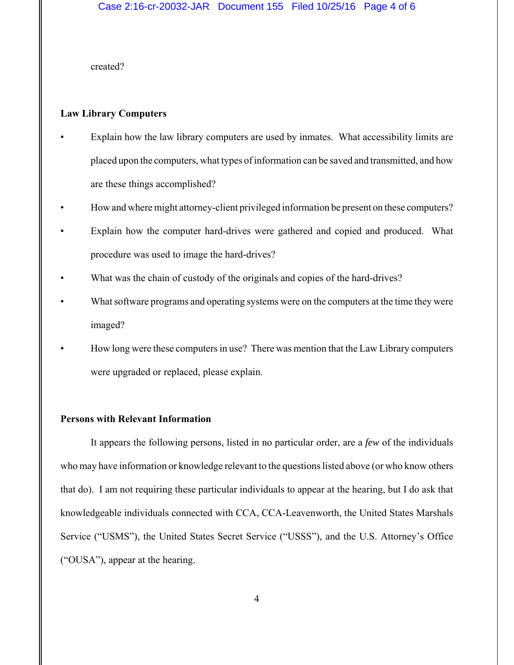created?

#### **Law Library Computers**

- Explain how the law library computers are used by inmates. What accessibility limits are placed upon the computers, what types of information can be saved and transmitted, and how are these things accomplished?
- How and where might attorney-client privileged information be present on these computers?
- Explain how the computer hard-drives were gathered and copied and produced. What procedure was used to image the hard-drives?
- What was the chain of custody of the originals and copies of the hard-drives?
- What software programs and operating systems were on the computers at the time they were imaged?
- How long were these computers in use? There was mention that the Law Library computers were upgraded or replaced, please explain.

#### **Persons with Relevant Information**

It appears the following persons, listed in no particular order, are a *few* of the individuals who may have information or knowledge relevant to the questions listed above (or who know others that do). I am not requiring these particular individuals to appear at the hearing, but I do ask that knowledgeable individuals connected with CCA, CCA-Leavenworth, the United States Marshals Service ("USMS"), the United States Secret Service ("USSS"), and the U.S. Attorney's Office ("OUSA"), appear at the hearing.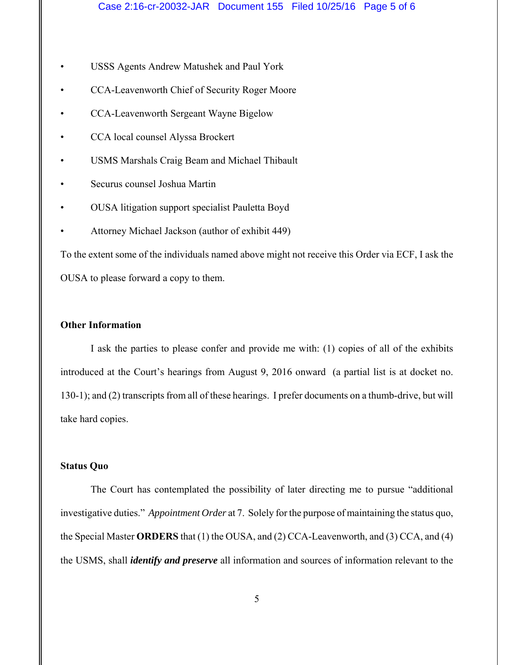- USSS Agents Andrew Matushek and Paul York
- CCA-Leavenworth Chief of Security Roger Moore
- CCA-Leavenworth Sergeant Wayne Bigelow
- CCA local counsel Alyssa Brockert
- USMS Marshals Craig Beam and Michael Thibault
- Securus counsel Joshua Martin
- OUSA litigation support specialist Pauletta Boyd
- Attorney Michael Jackson (author of exhibit 449)

To the extent some of the individuals named above might not receive this Order via ECF, I ask the OUSA to please forward a copy to them.

## **Other Information**

I ask the parties to please confer and provide me with: (1) copies of all of the exhibits introduced at the Court's hearings from August 9, 2016 onward (a partial list is at docket no. 130-1); and (2) transcripts from all of these hearings. I prefer documents on a thumb-drive, but will take hard copies.

### **Status Quo**

The Court has contemplated the possibility of later directing me to pursue "additional investigative duties." *Appointment Order* at 7. Solely for the purpose of maintaining the status quo, the Special Master **ORDERS** that (1) the OUSA, and (2) CCA-Leavenworth, and (3) CCA, and (4) the USMS, shall *identify and preserve* all information and sources of information relevant to the